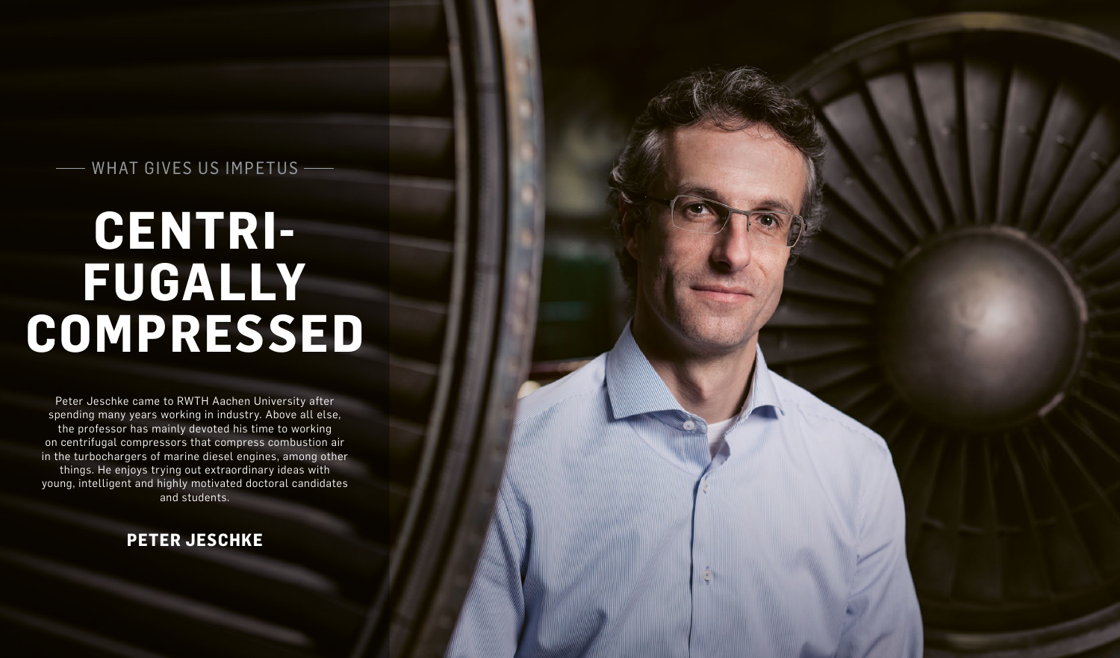#### WHAT GIVES US IMPETUS -

# **CENTRI-FUGALLY COMPRESSED**

Peter Jeschke came to RWTH Aachen University after spending many years working in industry. Above all else, the professor has mainly devoted his time to working on centrifugal compressors that compress combustion air in the turbochargers of marine diesel engines, among other things. He enjoys trying out extraordinary ideas with young, intelligent and highly motivated doctoral candidates and students.

#### **PETER JESCHKE**

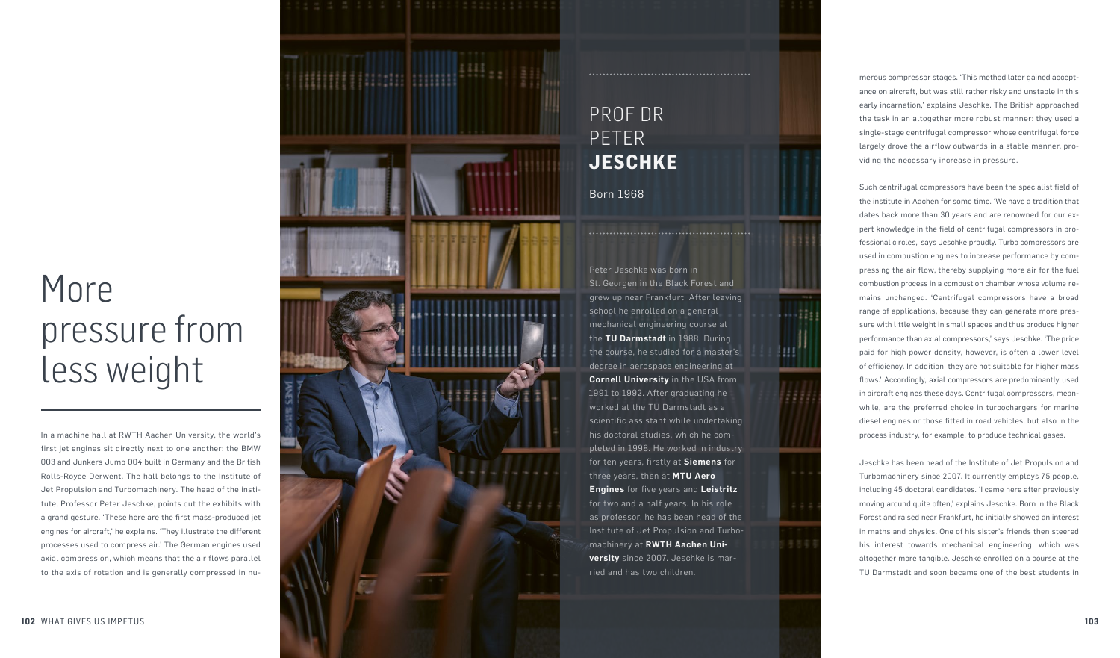In a machine hall at RWTH Aachen University, the world's first jet engines sit directly next to one another: the BMW 003 and Junkers Jumo 004 built in Germany and the British Rolls-Royce Derwent. The hall belongs to the Institute of Jet Propulsion and Turbomachinery. The head of the insti tute, Professor Peter Jeschke, points out the exhibits with a grand gesture. 'These here are the first mass-produced jet engines for aircraft,' he explains. 'They illustrate the different processes used to compress air.' The German engines used axial compression, which means that the air flows parallel to the axis of rotation and is generally compressed in nu -

merous compressor stages. 'This method later gained acceptance on aircraft, but was still rather risky and unstable in this early incarnation,' explains Jeschke. The British approached the task in an altogether more robust manner: they used a single-stage centrifugal compressor whose centrifugal force largely drove the airflow outwards in a stable manner, pro viding the necessary increase in pressure.

Such centrifugal compressors have been the specialist field of the institute in Aachen for some time. 'We have a tradition that dates back more than 30 years and are renowned for our ex pert knowledge in the field of centrifugal compressors in professional circles,' says Jeschke proudly. Turbo compressors are used in combustion engines to increase performance by com pressing the air flow, thereby supplying more air for the fuel combustion process in a combustion chamber whose volume re mains unchanged. 'Centrifugal compressors have a broad range of applications, because they can generate more pres sure with little weight in small spaces and thus produce higher performance than axial compressors,' says Jeschke. 'The price paid for high power density, however, is often a lower level of efficiency. In addition, they are not suitable for higher mass flows.' Accordingly, axial compressors are predominantly used in aircraft engines these days. Centrifugal compressors, meanwhile, are the preferred choice in turbochargers for marine diesel engines or those fitted in road vehicles, but also in the process industry, for example, to produce technical gases.

Jeschke has been head of the Institute of Jet Propulsion and Turbomachinery since 2007. It currently employs 75 people, including 45 doctoral candidates. 'I came here after previously moving around quite often,' explains Jeschke. Born in the Black Forest and raised near Frankfurt, he initially showed an interest in maths and physics. One of his sister's friends then steered his interest towards mechanical engineering, which was altogether more tangible. Jeschke enrolled on a course at the TU Darmstadt and soon became one of the best students in

## More pressure from less weight

### PROF DR PETER **JESCHKE**

Born 1968

Peter Jeschke was born in St. Georgen in the Black Forest and grew up near Frankfurt. After leaving school he enrolled on a general mechanical engineering course at the **TU Darmstadt** in 1988. During the course, he studied for a master's degree in aerospace engineering at **Cornell University** in the USA from 1991 to 1992. After graduating he worked at the TU Darmstadt as a scientific assistant while undertaking his doctoral studies, which he completed in 1998. He worked in industry for ten years, firstly at **Siemens** for three years, then at **MTU Aero Engines** for five years and **Leistritz**  for two and a half years. In his role as professor, he has been head of the Institute of Jet Propulsion and Turbomachinery at **RWTH Aachen University** since 2007. Jeschke is married and has two children.